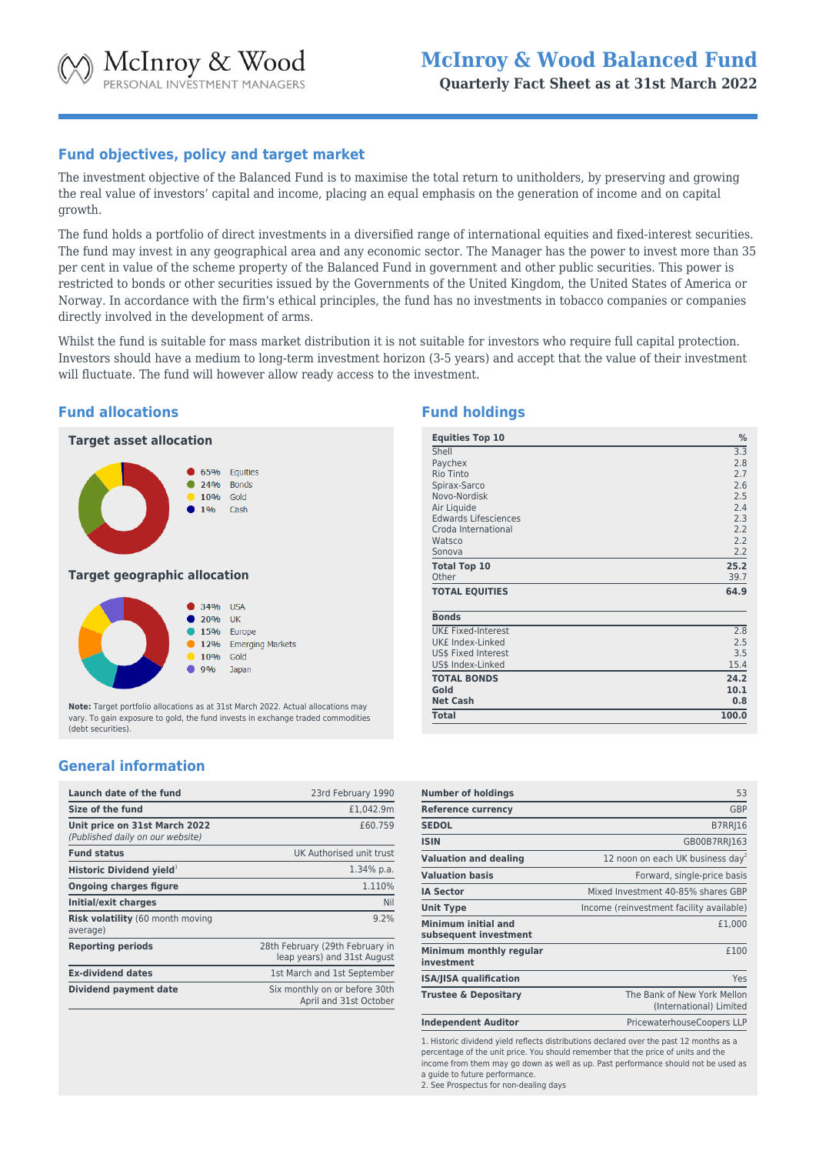# **Fund objectives, policy and target market**

The investment objective of the Balanced Fund is to maximise the total return to unitholders, by preserving and growing the real value of investors' capital and income, placing an equal emphasis on the generation of income and on capital growth.

The fund holds a portfolio of direct investments in a diversified range of international equities and fixed-interest securities. The fund may invest in any geographical area and any economic sector. The Manager has the power to invest more than 35 per cent in value of the scheme property of the Balanced Fund in government and other public securities. This power is restricted to bonds or other securities issued by the Governments of the United Kingdom, the United States of America or Norway. In accordance with the firm's ethical principles, the fund has no investments in tobacco companies or companies directly involved in the development of arms.

Whilst the fund is suitable for mass market distribution it is not suitable for investors who require full capital protection. Investors should have a medium to long-term investment horizon (3-5 years) and accept that the value of their investment will fluctuate. The fund will however allow ready access to the investment.

# **Fund allocations**



**Note:** Target portfolio allocations as at 31st March 2022. Actual allocations may vary. To gain exposure to gold, the fund invests in exchange traded commodities (debt securities).

Japan

# **General information**

| Launch date of the fund                                           | 23rd February 1990                                             |
|-------------------------------------------------------------------|----------------------------------------------------------------|
| Size of the fund                                                  | £1,042.9m                                                      |
| Unit price on 31st March 2022<br>(Published daily on our website) | £60.759                                                        |
| <b>Fund status</b>                                                | UK Authorised unit trust                                       |
| Historic Dividend yield <sup>1</sup>                              | $1.34\%$ p.a.                                                  |
| <b>Ongoing charges figure</b>                                     | 1.110%                                                         |
| Initial/exit charges                                              | Nil                                                            |
| <b>Risk volatility (60 month moving</b><br>average)               | 9.2%                                                           |
| <b>Reporting periods</b>                                          | 28th February (29th February in<br>leap years) and 31st August |
| <b>Ex-dividend dates</b>                                          | 1st March and 1st September                                    |
| Dividend payment date                                             | Six monthly on or before 30th<br>April and 31st October        |

# **Fund holdings**

| <b>Equities Top 10</b>      | %     |
|-----------------------------|-------|
| Shell                       | 3.3   |
| Paychex                     | 2.8   |
| Rio Tinto                   | 2.7   |
| Spirax-Sarco                | 2.6   |
| Novo-Nordisk                | 2.5   |
| Air Liquide                 | 2.4   |
| <b>Edwards Lifesciences</b> | 2.3   |
| Croda International         | 2.2   |
| Watsco                      | 2.2   |
| Sonova                      | 2.2   |
| <b>Total Top 10</b>         | 25.2  |
| Other                       | 39.7  |
| <b>TOTAL EQUITIES</b>       | 64.9  |
| <b>Bonds</b>                |       |
| <b>UK£ Fixed-Interest</b>   | 2.8   |
| UK£ Index-Linked            | 2.5   |
| US\$ Fixed Interest         | 3.5   |
| US\$ Index-Linked           | 15.4  |
| <b>TOTAL BONDS</b>          | 24.2  |
| Gold                        | 10.1  |
| <b>Net Cash</b>             | 0.8   |
| <b>Total</b>                | 100.0 |

| <b>Number of holdings</b>                    | 53                                                     |
|----------------------------------------------|--------------------------------------------------------|
| <b>Reference currency</b>                    | <b>GBP</b>                                             |
| <b>SEDOL</b>                                 | <b>B7RRI16</b>                                         |
| <b>ISIN</b>                                  | GB00B7RR 163                                           |
| <b>Valuation and dealing</b>                 | 12 noon on each UK business day <sup>2</sup>           |
| <b>Valuation basis</b>                       | Forward, single-price basis                            |
| <b>IA Sector</b>                             | Mixed Investment 40-85% shares GBP                     |
| <b>Unit Type</b>                             | Income (reinvestment facility available)               |
| Minimum initial and<br>subsequent investment | £1.000                                                 |
| Minimum monthly regular<br>investment        | £100                                                   |
| <b>ISA/JISA qualification</b>                | Yes                                                    |
| <b>Trustee &amp; Depositary</b>              | The Bank of New York Mellon<br>(International) Limited |
| <b>Independent Auditor</b>                   | PricewaterhouseCoopers LLP                             |

1. Historic dividend yield reflects distributions declared over the past 12 months as a percentage of the unit price. You should remember that the price of units and the income from them may go down as well as up. Past performance should not be used as a guide to future performance.

2. See Prospectus for non-dealing days